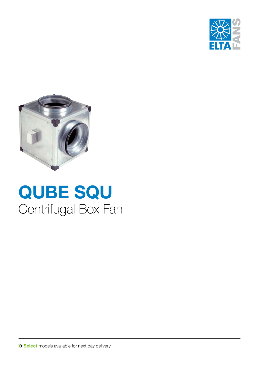



# **QUBE SQU** Centrifugal Box Fan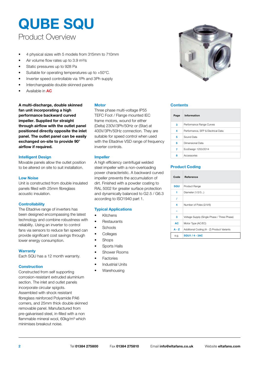### Product Overview **QUBE SQU**

- 4 physical sizes with 5 models from 315mm to 710mm
- Air volume flow rates up to 3.9 m<sup>3</sup>/s
- Static pressures up to 928 Pa
- Suitable for operating temperatures up to +50°C.
- Inverter speed controllable via 1Ph and 3Ph supply
- Interchangeable double skinned panels
- Available in **AC**

A multi-discharge, double skinned Motor **Contents** Contents **fan unit incorporating a high performance backward curved impeller. Supplied for straight through airflow with the outlet panel positioned directly opposite the inlet panel. The outlet panel can be easily exchanged on-site to provide 90° airflow if required.** 

#### **Intelligent Design**

Movable panels allow the outlet position to be altered on site to suit installation.

#### **Low Noise**

Unit is constructed from double insulated panels filled with 25mm fibreglass acoustic insulation.

#### **Controllability**

The Eltadrive range of inverters has been designed encompassing the latest technology and combine robustness with reliability. Using an inverter to control fans via sensors to reduce fan speed can provide significant cost savings through lower energy consumption.

#### **Warranty**

Each SQU has a 12 month warranty.

#### **Construction**

Constructed from self supporting corrosion-resistant extruded aluminium section. The inlet and outlet panels incorporate circular spigots. Assembled with shock resistant fibreglass reinforced Polyamide PA6 corners, and 25mm thick double skinned removable panel. Manufactured from pre-galvanised steel, in-filled with a non flammable mineral wool, 60kg/m<sup>3</sup> which minimises breakout noise.

#### **Motor**

Three phase multi-voltage IP55 TEFC Foot / Flange mounted IEC frame motors, wound for either (Delta) 230V/3Ph/50Hz or (Star) at 400V/3Ph/50Hz connection. They are suitable for speed control when used with the Eltadrive VSD range of frequency inverter controls.

#### **Impeller**

A high efficiency centrifugal welded steel impeller with a non-overloading power characteristic. A backward curved impeller prevents the accumulation of dirt. Finished with a powder coating to RAL 5002 for greater surface protection and dynamically balanced to G2.5 / G6.3 according to ISO1940 part 1.

#### **Typical Applications**

- Kitchens
- Restaurants
- Schools
- Colleges
- **Shops**
- Sports Halls
- Shower Rooms
- **Factories**
- Industrial Units
- **Warehousing**



| Page | Information                        |
|------|------------------------------------|
| 3    | Performance Range Curves           |
| 4    | Performance, SFP & Electrical Data |
| 5    | Sound Data                         |
| 6    | Dimensional Data                   |
| 7    | EcoDesign 1253/2014                |
| ន    | Accessories                        |
|      |                                    |

#### **Product Coding**

| Code    | Reference                                   |
|---------|---------------------------------------------|
| SQU     | Product Range                               |
| 1       | Diameter (1/2/3)                            |
| 7       |                                             |
| 4       | Number of Poles (2/4/6)                     |
|         |                                             |
| 3       | Voltage Supply (Single Phase / Three Phase) |
| AC      | Motor Type (AC/EC)                          |
| $A - Z$ | Additional Coding (A - Z) Product Variants  |
| e.g.    | <b>SQU1/4-3AC</b>                           |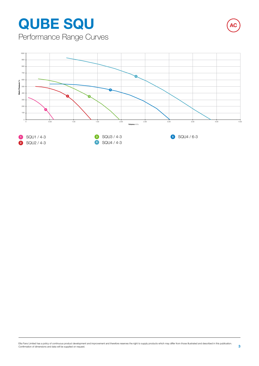# **QUBE SQU AC**

Performance Range Curves

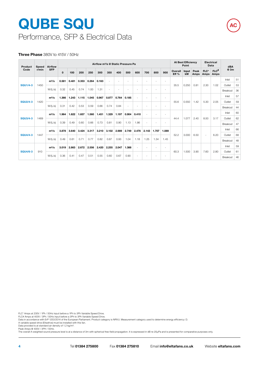## Performance, SFP & Electrical Data **QUBE SQU**

# **AC**

#### **Three Phase** 380V to 415V / 50Hz

| Product         | Speed | Airflow    |              | Airflow m <sup>3</sup> /s @ Static Pressure Pa |       |       |       |       |       |       |                |        | <b>At Best Efficiency</b><br>Point |                          | <b>Electrical</b><br>Data |             | dBA          |                |                            |          |    |
|-----------------|-------|------------|--------------|------------------------------------------------|-------|-------|-------|-------|-------|-------|----------------|--------|------------------------------------|--------------------------|---------------------------|-------------|--------------|----------------|----------------------------|----------|----|
| Code            | r/min | <b>SFP</b> | $\mathbf{0}$ | 100                                            | 200   | 250   | 300   | 350   | 400   | 500   | 600            | 700    | 800                                | 900                      | Overall<br>Eff %          | Input<br>kW | Peak<br>Amps | $FLC*$<br>Amps | $FLC$ <sup>#</sup><br>Amps | @ 3m     |    |
|                 |       | $m^3/s$    | 0.581        | 0.481                                          | 0.353 | 0.264 | 0.163 |       |       |       |                |        |                                    |                          |                           |             |              |                |                            | Inlet    | 51 |
| <b>SQU1/4-3</b> | 1450  |            |              |                                                |       |       |       |       |       |       |                |        |                                    |                          | 35.5                      | 0.250       | 0.81         | 2.30           | 1.02                       | Outlet   | 53 |
|                 |       | W/(L/s)    | 0.32         | 0.45                                           | 0.74  | 1.00  | 1.31  |       |       |       | ÷,             |        | ٠                                  |                          |                           |             |              |                |                            | Breakout | 36 |
|                 |       | $m^3/s$    | 1.366        | 1.243                                          | 1.115 | 1.045 | 0.967 | 0.877 | 0.764 | 0.185 | $\overline{a}$ |        |                                    |                          |                           |             |              |                |                            | Inlet    | 57 |
| <b>SQU2/4-3</b> | 1420  |            |              |                                                |       |       |       |       |       |       |                |        |                                    |                          | 55.6                      | 0.550       | 1.42         | 5.30           | 2.05                       | Outlet   | 59 |
|                 |       | W/(L/s)    | 0.31         | 0.42                                           | 0.53  | 0.59  | 0.66  | 0.74  | 0.84  |       |                |        |                                    |                          |                           |             |              |                |                            | Breakout | 44 |
|                 |       | $m^3/s$    | 1.964        | 1.822                                          | 1.657 | 1.560 | 1.451 | 1.329 | 1.197 | 0.904 | 0.410          | $\sim$ | ÷,                                 |                          |                           |             |              |                |                            | Inlet    | 60 |
| <b>SQU3/4-3</b> | 1469  |            |              |                                                |       |       |       |       |       |       |                |        |                                    |                          | 44.4                      | 1.077       | 2.40         | 8.50           | 3.17                       | Outlet   | 62 |
|                 |       | W/(L/s)    | 0.39         | 0.49                                           | 0.60  | 0.66  | 0.73  | 0.81  | 0.90  | 1.13  | 1.86           | ٠      | $\overline{\phantom{a}}$           | $\overline{\phantom{a}}$ |                           |             |              |                |                            | Breakout | 47 |
|                 |       | $m^3/s$    | 3.878        | 3.640                                          | 3.424 | 3.317 | 3.210 | 3.102 | 2.989 | 2.749 | 2.476          | 2.143  | 1.707                              | 1.089                    |                           |             |              |                |                            | Inlet    | 66 |
| <b>SQU4/4-3</b> | 1447  |            |              |                                                |       |       |       |       |       |       |                |        |                                    |                          | 52.2                      | 3.000       | 6.50         | $\sim$         | 6.20                       | Outlet   | 68 |
|                 |       | W/(L/s)    | 0.49         | 0.61                                           | 0.71  | 0.77  | 0.82  | 0.87  | 0.93  | 1.04  | 1.18           | 1.25   | 1.34                               | 1.45                     |                           |             |              |                |                            | Breakout | 48 |
|                 |       | $m^3/s$    | 3.019        | 2.863                                          | 2.672 | 2.556 | 2.420 | 2.255 | 2.047 | 1.388 | $\sim$         |        |                                    |                          |                           |             |              |                |                            | Inlet    | 59 |
| <b>SQU4/6-3</b> | 910   |            |              |                                                |       |       |       |       |       |       |                |        |                                    |                          | 60.3                      | 1.500       | 3.90         | 7.60           | 2.80                       | Outlet   | 61 |
|                 |       | W/(L/s)    | 0.36         | 0.41                                           | 0.47  | 0.51  | 0.55  | 0.60  | 0.67  | 0.90  | ٠              |        | ٠                                  | $\overline{\phantom{a}}$ |                           |             |              |                |                            | Breakout | 46 |

FLC\* Amps at 230V / 1Ph / 50Hz input before a 1Ph to 3Ph Variable Speed Drive.<br>FLC# Amps at 400V / 3Ph / 50Hz input before a 3Ph to 3Ph Variable Speed Drive.<br>Data in accordance with ErP 1253/2014 of the European Parliament

A variable speed drive (Eltadrive) must be installed with this fan. Data provided is at standard air density of 1.2 kg/m³.

Peak Amps @ 400V / 3PH / 50Hz.<br>The overall A-weighted sound pressure level is at a distance of 3m with spherical free-field propagation. It is expressed in dB re-20µPa and is presented for comparative purposes only.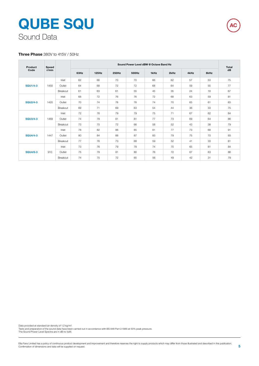## Sound Data **QUBE SQU**

#### **Three Phase** 380V to 415V / 50Hz

| Product         | Speed |          |      |          |       | Sound Power Level dBW @ Octave Band Hz |      |      |      |      | <b>Total</b> |
|-----------------|-------|----------|------|----------|-------|----------------------------------------|------|------|------|------|--------------|
| Code            | r/min |          | 63Hz | $125$ Hz | 250Hz | 500Hz                                  | 1kHz | 2kHz | 4kHz | 8kHz | dB           |
|                 |       | Inlet    | 62   | 66       | 70    | 70                                     | 66   | 62   | 57   | 53   | 75           |
| <b>SQU1/4-3</b> | 1450  | Outlet   | 64   | 68       | 72    | 72                                     | 68   | 64   | 59   | 55   | 77           |
|                 |       | Breakout | 61   | 63       | 61    | 55                                     | 45   | 35   | 24   | 18   | 67           |
|                 |       | Inlet    | 68   | 72       | 76    | 76                                     | 72   | 68   | 63   | 59   | 81           |
| <b>SQU2/4-3</b> | 1420  | Outlet   | 70   | 74       | 78    | 78                                     | 74   | 70   | 65   | 61   | 83           |
|                 |       | Breakout | 69   | 71       | 69    | 63                                     | 54   | 44   | 36   | 33   | 75           |
|                 |       | Inlet    | 72   | 76       | 79    | 79                                     | 75   | 71   | 67   | 62   | 84           |
| <b>SQU3/4-3</b> | 1469  | Outlet   | 74   | 78       | 81    | 81                                     | 77   | 73   | 69   | 64   | 86           |
|                 |       | Breakout | 73   | 75       | 72    | 66                                     | 58   | 52   | 43   | 38   | 79           |
|                 |       | Inlet    | 78   | 82       | 86    | 85                                     | 81   | 77   | 73   | 68   | 91           |
| <b>SQU4/4-3</b> | 1447  | Outlet   | 80   | 84       | 88    | 87                                     | 83   | 79   | 75   | 70   | 93           |
|                 |       | Breakout | 77   | 76       | 73    | 68                                     | 59   | 52   | 41   | 33   | 81           |
|                 |       | Inlet    | 73   | 76       | 79    | 78                                     | 74   | 70   | 65   | 61   | 84           |
| <b>SQU4/6-3</b> | 910   | Outlet   | 75   | 78       | 81    | 80                                     | 76   | 72   | 67   | 63   | 86           |
|                 |       | Breakout | 74   | 75       | 72    | 65                                     | 56   | 49   | 42   | 31   | 79           |

Data provided at standard air density of 1.2 kg/m<sup>3</sup>. Tests and preparation of the sound data have been carried out in accordance with BS 848 Part 2:1985 at 50% peak pressure. The Sound Power Level Spectra are in dB re-1pW. **AC**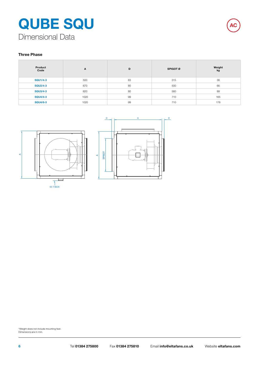## Dimensional Data **QUBE SQU AC**

#### **Three Phase**

| Product<br>Code | A    | D  | <b>SPIGOT Ø</b> | Weight<br>kg |
|-----------------|------|----|-----------------|--------------|
| <b>SQU1/4-3</b> | 500  | 63 | 315             | 38           |
| <b>SQU2/4-3</b> | 670  | 80 | 500             | 66           |
| <b>SQU3/4-3</b> | 820  | 80 | 560             | 99           |
| <b>SQU4/4-3</b> | 1020 | 99 | 710             | 165          |
| <b>SQU4/6-3</b> | 1020 | 99 | 710             | 178          |





\*Weight does not include mounting feet. Dimensions are in mm.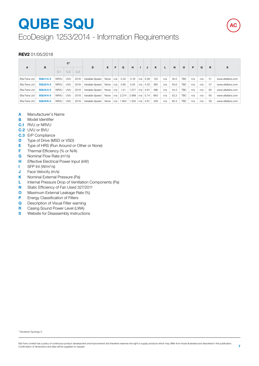# **QUBE SQU**

EcoDesign 1253/2014 - Information Requirements

#### **REV2** 01/05/2018

|               |                 | $C^*$       |            |      | Е.<br>D        | G<br>F |       |       | н     |     | κ          |     | N   | $\circ$ | P          |     | R   |    |                  |
|---------------|-----------------|-------------|------------|------|----------------|--------|-------|-------|-------|-----|------------|-----|-----|---------|------------|-----|-----|----|------------------|
| A             | в               | C.1         | C.2        | C.3  |                |        |       |       |       |     | J          |     |     |         |            |     | Q   |    | s                |
| Elta Fans Ltd | <b>SQU1/4-3</b> | <b>NRVU</b> | <b>UVU</b> | 2018 | Variable-Speed | None   | n/a   | 0.42  | 0.18  |     | $n/a$ 5.39 | 152 | n/a | 35.5    | <b>TBC</b> | n/a | n/a | 51 | www.eltafans.com |
| Elta Fans Ltd | <b>SQU2/4-3</b> | <b>NRVU</b> | <b>UVU</b> | 2018 | Variable-Speed | None   | n/a   | 0.85  | 0.55  | n/a | 4.33       | 360 | n/a | 55.6    | TBC        | n/a | n/a | 57 | www.eltafans.com |
| Elta Fans Ltd | <b>SQU3/4-3</b> | <b>NRVU</b> | <b>UVU</b> | 2018 | Variable-Speed | None   | l n/a | 1.21  | 1.077 |     | $n/a$ 4.91 | 396 | n/a | 44.4    | <b>TBC</b> | n/a | n/a | 60 | www.eltafans.com |
| Elta Fans Ltd | <b>SQU4/4-3</b> | <b>NRVU</b> | <b>UVU</b> | 2018 | Variable-Speed | None   | n/a   | 2.274 | 2.888 |     | $n/a$ 5.74 | 663 | n/a | 52.2    | <b>TBC</b> | n/a | n/a | 65 | www.eltafans.com |
| Elta Fans Ltd | <b>SQU4/6-3</b> | <b>NRVU</b> | <b>UVU</b> | 2018 | Variable-Speed | None   | n/a   | 1.904 | 1.352 | n/a | 4.81       | 428 | n/a | 60.3    | <b>TBC</b> | n/a | n/a | 59 | www.eltafans.com |

- **A** Manufacturer's Name
- **B** Model Identifier
- **C.1** RVU or NRVU
- **C.2** UVU or BVU
- **C.3** ErP Compliance
- **D** Type of Drive (MSD or VSD)
- **E** Type of HRS (Run Around or Other or None)
- **F** Thermal Efficiency (% or N/A)
- **G** Nominal Flow Rate (m3/s)
- **H** Effective Electrical Power Input (kW)
- **I** SFP Int (W/m<sup>3</sup>/s)
- **J** Face Velocity (m/s)
- **K** Nominal External Pressure (Pa)
- **L** Internal Pressure Drop of Ventilation Components (Pa)
- **N** Static Efficiency of Fan Used 327/2011
- **O** Maximum External Leakage Rate (%)
- **P** Energy Classification of Filters
- **Q** Description of Visual Filter warning
- **R** Casing Sound Power Level (LWA)
- **S** Website for Disassembly Instructions

**AC**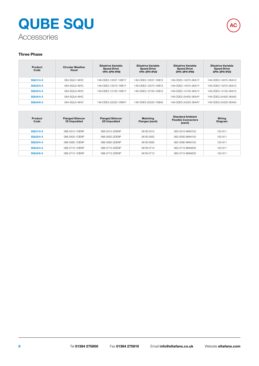## Accessories **QUBE SQU AC**



#### **Three Phase**

| Product<br>Code | <b>Circular Weather</b><br>Hood | <b>Eltadrive Variable</b><br><b>Speed Drive</b><br>1PH-3PH IP66 | <b>Eltadrive Variable</b><br><b>Speed Drive</b><br><b>1PH-3PH IP20</b> | <b>Eltadrive Variable</b><br><b>Speed Drive</b><br>3PH-3PH IP66 | <b>Eltadrive Variable</b><br><b>Speed Drive</b><br>3PH-3PH IP20 |
|-----------------|---------------------------------|-----------------------------------------------------------------|------------------------------------------------------------------------|-----------------------------------------------------------------|-----------------------------------------------------------------|
| <b>SQU1/4-3</b> | 064-SQU1-WHC                    | 149-ODE3-12037-1KB1Y                                            | 149-ODE3-12037-1KB12                                                   | 149-ODE3-14075-3KA1Y                                            | 149-ODE3-14075-3KA12                                            |
| <b>SQU2/4-3</b> | 064-SQU2-WHC                    | 149-ODE3-12075-1KB1Y                                            | 149-ODE3-12075-1KB12                                                   | 149-ODE3-14075-3KA1Y                                            | 149-ODE3-14075-3KA12                                            |
| <b>SQU3/4-3</b> | 064-SQU3-WHC                    | 149-ODE3-12150-1KB1Y                                            | 149-ODE3-12150-1KB12                                                   | 149-ODE3-14150-3KA1Y                                            | 149-ODE3-14150-3KA12                                            |
| <b>SQU4/4-3</b> | 064-SOU4-WHC                    | $\overline{\phantom{0}}$                                        | -                                                                      | 149-ODE3-24400-3KA4Y                                            | 149-ODE3-24400-3KA42                                            |
| <b>SQU4/6-3</b> | 064-SQU4-WHC                    | 149-ODE3-22220-1KB4Y                                            | 149-ODE3-22220-1KB42                                                   | 149-ODE3-24220-3KA4Y                                            | 149-ODE3-24220-3KA42                                            |

| Product<br>Code | <b>Flanged Silencer</b><br>1D Unpodded | <b>Flanged Silencer</b><br>2D Unpodded | <b>Matching</b><br>Flanges (each) | <b>Standard Ambient</b><br><b>Flexible Connectors</b><br>(each) | Wiring<br>Diagram |
|-----------------|----------------------------------------|----------------------------------------|-----------------------------------|-----------------------------------------------------------------|-------------------|
| <b>SQU1/4-3</b> | 068-0315-1DENP                         | 068-0315-2DENP                         | 061B-0315                         | 063-0315-MAN150                                                 | 152-611           |
| SQU2/4-3        | 068-0500-1DENP                         | 068-0500-2DENP                         | 061B-0500                         | 063-0500-MAN150                                                 | 152-611           |
| <b>SQU3/4-3</b> | 068-0560-1DENP                         | 068-0560-2DENP                         | 061B-0560                         | 063-0560-MAN150                                                 | 152-611           |
| <b>SQU4/4-3</b> | 068-0710-1DENP                         | 068-0710-2DENP                         | 061B-0710                         | 063-0710-MAN200                                                 | 152-611           |
| <b>SQU4/6-3</b> | 068-0710-1DENP                         | 068-0710-2DENP                         | 061B-0710                         | 063-0710-MAN200                                                 | 152-611           |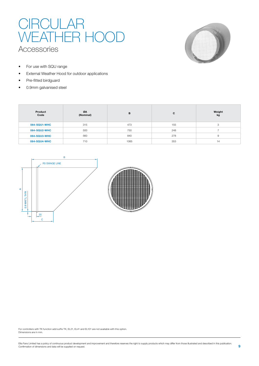### CIRCULAR WEATHER HOOD Accessories



- For use with SQU range
- External Weather Hood for outdoor applications
- Pre-fitted birdguard
- 0.9mm galvanised steel

| Product<br>Code | ØA<br>(Nominal) | B    | C   | Weight<br>kg |
|-----------------|-----------------|------|-----|--------------|
| 064-SQU1-WHC    | 315             | 473  | 155 | - 7          |
| 064-SQU2-WHC    | 500             | 750  | 248 |              |
| 064-SQU3-WHC    | 560             | 840  | 278 |              |
| 064-SQU4-WHC    | 710             | 1065 | 353 | 14           |



For controllers with TK function add suffix TK, EL21, EL41 and EL101 are not available with this option. Dimensions are in mm.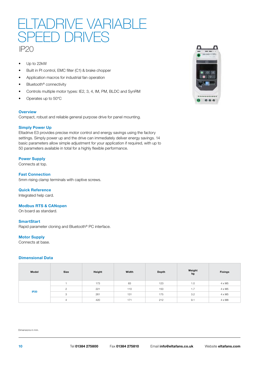### IP20 TADRIVE VARIABL SPEED DRIVES

- Up to 22kW
- Built in PI control, EMC filter (C1) & brake chopper
- Application macros for industrial fan operation
- Bluetooth<sup>®</sup> connectivity
- Controls multiple motor types: IE2, 3, 4, IM, PM, BLDC and SynRM
- Operates up to 50\*C

#### **Overview**

Compact, robust and reliable general purpose drive for panel mounting.

#### **Simply Power Up**

Eltadrive E3 provides precise motor control and energy savings using the factory settings. Simply power up and the drive can immediately deliver energy savings. 14 basic parameters allow simple adjustment for your application if required, with up to 50 parameters available in total for a highly flexible performance.

#### **Power Supply**

Connects at top.

**Fast Connection** 5mm rising clamp terminals with captive screws.

#### **Quick Reference**

Integrated help card.

#### **Modbus RTS & CANopen**

On board as standard.

#### **SmartStart**

Rapid parameter cloning and Bluetooth® PC interface.

#### **Motor Supply**

Connects at base.

#### **Dimensional Data**

| Model       | Size     | Height | Width | Depth | Weight<br>kg | <b>Fixings</b> |
|-------------|----------|--------|-------|-------|--------------|----------------|
|             |          | 173    | 83    | 123   | 1.0          | $4 \times M5$  |
|             | $\Omega$ | 221    | 110   | 150   | $-1$<br>1.1  | $4 \times M5$  |
| <b>IP20</b> | 3        | 261    | 131   | 175   | 3.2          | $4 \times M5$  |
|             |          | 420    | 171   | 212   | 9.1          | $4 \times M8$  |

Dimensions in mm.

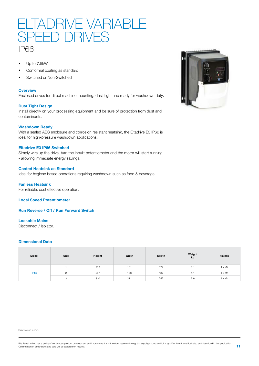

- Up to 7.5kW
- Conformal coating as standard
- Switched or Non-Switched

#### **Overview**

Enclosed drives for direct machine mounting, dust-tight and ready for washdown duty.

#### **Dust Tight Design**

Install directly on your processing equipment and be sure of protection from dust and contaminants.

#### **Washdown Ready**

With a sealed ABS enclosure and corrosion resistant heatsink, the Eltadrive E3 IP66 is ideal for high-pressure washdown applications.

#### **Eltadrive E3 IP66 Switched**

Simply wire up the drive, turn the inbuilt potentiometer and the motor will start running - allowing immediate energy savings.

#### **Coated Heatsink as Standard**

Ideal for hygiene based operations requiring washdown such as food & beverage.

**Fanless Heatsink** For reliable, cost effective operation.

**Local Speed Potentiometer**

**Run Reverse / Off / Run Forward Switch**

#### **Lockable Mains**

Disconnect / Isolator.

#### **Dimensional Data**

| Model       | Size | Height | Width | Depth | Weight<br>kg | <b>Fixings</b> |
|-------------|------|--------|-------|-------|--------------|----------------|
|             |      | 232    | 161   | 179   | 3.1          | $4 \times M4$  |
| <b>IP66</b> |      | 257    | 188   | 187   | 4.1          | 4 x M4         |
|             | З    | 310    | 211   | 252   | 7.6          | 4 x M4         |

Dimensions in mm.



Elta Fans Limited has a policy of continuous product development and improvement and therefore reserves the right to supply products which may differ from those illustrated and described in this publication.<br>Confirmation o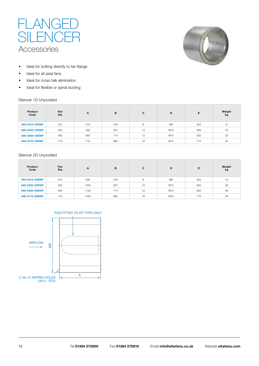



- Ideal for bolting directly to fan flange
- Ideal for all axial fans
- Ideal for cross talk elimination
- Ideal for flexible or spiral ducting

#### Silencer 1D Unpodded

| Product<br>Code | Fan<br>Dia | A   | B   | C  | D              | Е   | Weight<br>kg |
|-----------------|------------|-----|-----|----|----------------|-----|--------------|
| 068-0315-1DENP  | 315        | 315 | 416 | 8  | M <sub>8</sub> | 355 | 9            |
| 068-0500-1DENP  | 500        | 500 | 657 | 12 | M10            | 560 | 18           |
| 068-0560-1DENP  | 560        | 560 | 714 | 12 | M10            | 620 | 22           |
| 068-0710-1DENP  | 710        | 710 | 864 | 16 | M10            | 770 | 32           |

#### Silencer 2D Unpodded

C No. D TAPPED HOLES ON E - PCD

 $\overline{8}$ 

| Product<br>Code | Fan<br>Dia | A    | в   | C  | D              | Е   | Weight<br>kg |
|-----------------|------------|------|-----|----|----------------|-----|--------------|
| 068-0315-2DENP  | 315        | 630  | 416 | 8  | M <sub>8</sub> | 355 | 15           |
| 068-0500-2DENP  | 500        | 1000 | 657 | 12 | M10            | 560 | 32           |
| 068-0560-2DENP  | 560        | 1120 | 714 | 12 | M10            | 620 | 39           |
| 068-0710-2DENP  | 710        | 1420 | 864 | 16 | M10            | 770 | 59           |





A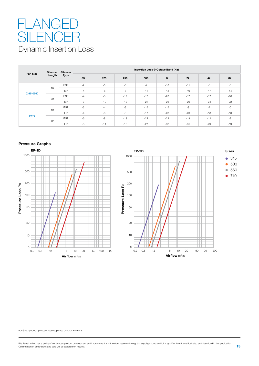## Dynamic Insertion Loss FLAI SILENCER

| <b>Fan Size</b> | Silencer<br>Length | <b>Silencer</b><br><b>Type</b> | Insertion Loss @ Octave Band (Hz) |       |       |       |       |       |       |       |  |
|-----------------|--------------------|--------------------------------|-----------------------------------|-------|-------|-------|-------|-------|-------|-------|--|
|                 |                    |                                | 63                                | 125   | 250   | 500   | 1k    | 2k    | 4k    | 8k    |  |
| 0315-0560       | 1D                 | <b>ENP</b>                     | $-2$                              | $-5$  | $-6$  | $-9$  | $-13$ | $-11$ | $-6$  | $-6$  |  |
|                 |                    | <b>FP</b>                      | $-4$                              | $-6$  | $-8$  | $-11$ | $-18$ | $-19$ | $-17$ | $-14$ |  |
|                 | 2D                 | <b>ENP</b>                     | $-4$                              | $-8$  | $-12$ | $-17$ | $-23$ | $-17$ | $-12$ | $-10$ |  |
|                 |                    | EP                             | $-7$                              | $-10$ | $-12$ | $-21$ | $-26$ | $-26$ | $-24$ | $-22$ |  |
| 0710            | 1D                 | <b>ENP</b>                     | $-3$                              | $-4$  | $-9$  | $-15$ | $-15$ | -8    | $-7$  | $-6$  |  |
|                 |                    | <b>FP</b>                      | $-4$                              | $-6$  | $-8$  | $-17$ | $-23$ | $-20$ | $-18$ | $-10$ |  |
|                 | 2D                 | <b>ENP</b>                     | $-6$                              | $-8$  | $-13$ | $-22$ | $-22$ | $-13$ | $-12$ | $-9$  |  |
|                 |                    | EP                             | $-8$                              | $-11$ | $-16$ | $-27$ | $-32$ | $-31$ | $-29$ | $-19$ |  |

#### **Pressure Graphs**





For Ø250 podded pressure losses, please contact Elta Fans.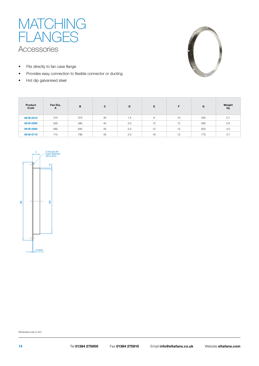

- Fits directly to fan case flange
- Provides easy connection to flexible connector or ducting
- Hot dip galvanised steel



| Product<br>Code | Fan Dia.<br>A | B   | C  | D   | Е  | F  | G   | Weight<br>kg |
|-----------------|---------------|-----|----|-----|----|----|-----|--------------|
| 061B-0315       | 315           | 375 | 30 | 1.5 | 8  | 10 | 355 | 0.7          |
| 061B-0500       | 500           | 585 | 45 | 2.0 | 12 | 12 | 560 | 2.6          |
| 061B-0560       | 560           | 645 | 45 | 2.0 | 12 | 12 | 620 | 3.0          |
| 061B-0710       | 710           | 795 | 45 | 2.0 | 16 | 12 | 770 | 3.7          |



Dimensions are in mm.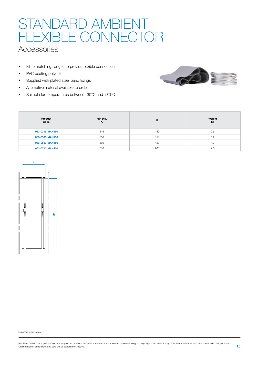## STANDARD AMBIENT FLEXIBLE CONNECTOR

### **Accessories**

- Fit to matching flanges to provide flexible connection
- PVC coating polyester
- Supplied with plated steel band fixings
- Alternative material available to order
- Suitable for temperatures between -30°C and +70°C



| Product<br>Code | Fan Dia.<br>$\mathbf{A}$ | в   | Weight<br>kg |
|-----------------|--------------------------|-----|--------------|
| 063-0315-MAN150 | 315                      | 150 | 0.6          |
| 063-0500-MAN150 | 500                      | 150 | 1.2          |
| 063-0560-MAN150 | 560                      | 150 | 1.3          |
| 063-0710-MAN200 | 710                      | 200 | 2.0          |



Dimensions are in mm.

Elta Fans Limited has a policy of continuous product development and improvement and therefore reserves the right to supply products which may differ from those illustrated and described in this publication.<br>Confirmation o